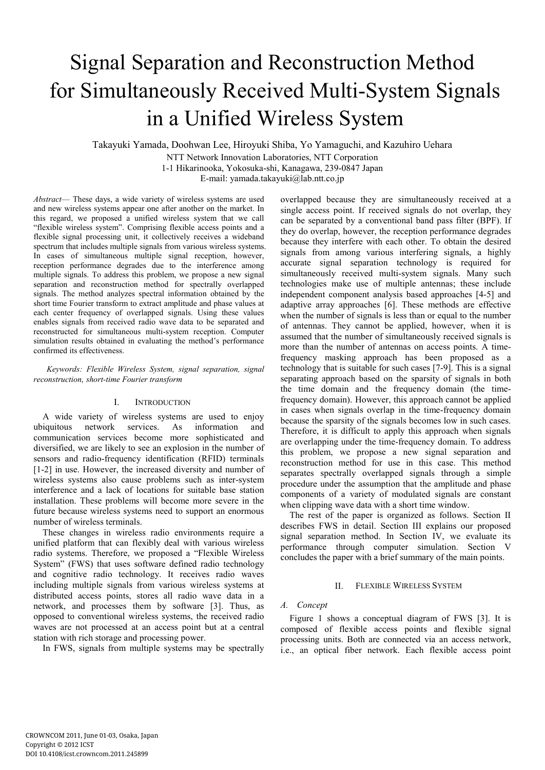# Signal Separation and Reconstruction Method for Simultaneously Received Multi-System Signals in a Unified Wireless System

Takayuki Yamada, Doohwan Lee, Hiroyuki Shiba, Yo Yamaguchi, and Kazuhiro Uehara

NTT Network Innovation Laboratories, NTT Corporation

1-1 Hikarinooka, Yokosuka-shi, Kanagawa, 239-0847 Japan

E-mail: yamada.takayuki@lab.ntt.co.jp

*Abstract*— These days, a wide variety of wireless systems are used and new wireless systems appear one after another on the market. In this regard, we proposed a unified wireless system that we call "flexible wireless system". Comprising flexible access points and a flexible signal processing unit, it collectively receives a wideband spectrum that includes multiple signals from various wireless systems. In cases of simultaneous multiple signal reception, however, reception performance degrades due to the interference among multiple signals. To address this problem, we propose a new signal separation and reconstruction method for spectrally overlapped signals. The method analyzes spectral information obtained by the short time Fourier transform to extract amplitude and phase values at each center frequency of overlapped signals. Using these values enables signals from received radio wave data to be separated and reconstructed for simultaneous multi-system reception. Computer simulation results obtained in evaluating the method's performance confirmed its effectiveness.

*Keywords: Flexible Wireless System, signal separation, signal reconstruction, short-time Fourier transform*

#### I. INTRODUCTION

A wide variety of wireless systems are used to enjoy<br>
iquitous network services. As information and ubiquitous network services. As information and communication services become more sophisticated and diversified, we are likely to see an explosion in the number of sensors and radio-frequency identification (RFID) terminals [1-2] in use. However, the increased diversity and number of wireless systems also cause problems such as inter-system interference and a lack of locations for suitable base station installation. These problems will become more severe in the future because wireless systems need to support an enormous number of wireless terminals.

These changes in wireless radio environments require a unified platform that can flexibly deal with various wireless radio systems. Therefore, we proposed a "Flexible Wireless System" (FWS) that uses software defined radio technology and cognitive radio technology. It receives radio waves including multiple signals from various wireless systems at distributed access points, stores all radio wave data in a network, and processes them by software [3]. Thus, as opposed to conventional wireless systems, the received radio waves are not processed at an access point but at a central station with rich storage and processing power.

In FWS, signals from multiple systems may be spectrally

overlapped because they are simultaneously received at a single access point. If received signals do not overlap, they can be separated by a conventional band pass filter (BPF). If they do overlap, however, the reception performance degrades because they interfere with each other. To obtain the desired signals from among various interfering signals, a highly accurate signal separation technology is required for simultaneously received multi-system signals. Many such technologies make use of multiple antennas; these include independent component analysis based approaches [4-5] and adaptive array approaches [6]. These methods are effective when the number of signals is less than or equal to the number of antennas. They cannot be applied, however, when it is assumed that the number of simultaneously received signals is more than the number of antennas on access points. A timefrequency masking approach has been proposed as a technology that is suitable for such cases [7-9]. This is a signal separating approach based on the sparsity of signals in both the time domain and the frequency domain (the timefrequency domain). However, this approach cannot be applied in cases when signals overlap in the time-frequency domain because the sparsity of the signals becomes low in such cases. Therefore, it is difficult to apply this approach when signals are overlapping under the time-frequency domain. To address this problem, we propose a new signal separation and reconstruction method for use in this case. This method separates spectrally overlapped signals through a simple procedure under the assumption that the amplitude and phase components of a variety of modulated signals are constant when clipping wave data with a short time window.

The rest of the paper is organized as follows. Section II describes FWS in detail. Section III explains our proposed signal separation method. In Section IV, we evaluate its performance through computer simulation. Section V concludes the paper with a brief summary of the main points.

## II. FLEXIBLE WIRELESS SYSTEM

### *A. Concept*

Figure 1 shows a conceptual diagram of FWS [3]. It is composed of flexible access points and flexible signal processing units. Both are connected via an access network, i.e., an optical fiber network. Each flexible access point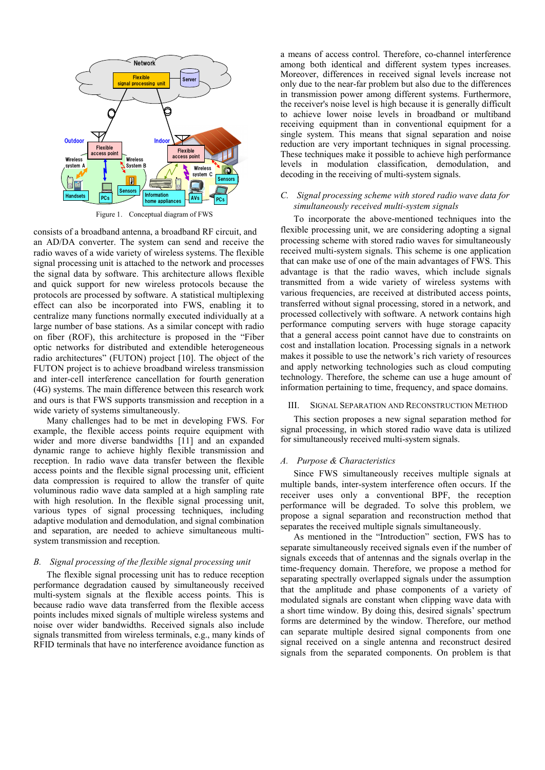

Figure 1. Conceptual diagram of FWS

consists of a broadband antenna, a broadband RF circuit, and an AD/DA converter. The system can send and receive the radio waves of a wide variety of wireless systems. The flexible signal processing unit is attached to the network and processes the signal data by software. This architecture allows flexible and quick support for new wireless protocols because the protocols are processed by software. A statistical multiplexing effect can also be incorporated into FWS, enabling it to centralize many functions normally executed individually at a large number of base stations. As a similar concept with radio on fiber (ROF), this architecture is proposed in the "Fiber optic networks for distributed and extendible heterogeneous radio architectures" (FUTON) project [10]. The object of the FUTON project is to achieve broadband wireless transmission and inter-cell interference cancellation for fourth generation (4G) systems. The main difference between this research work and ours is that FWS supports transmission and reception in a wide variety of systems simultaneously.

Many challenges had to be met in developing FWS. For example, the flexible access points require equipment with wider and more diverse bandwidths [11] and an expanded dynamic range to achieve highly flexible transmission and reception. In radio wave data transfer between the flexible access points and the flexible signal processing unit, efficient data compression is required to allow the transfer of quite voluminous radio wave data sampled at a high sampling rate with high resolution. In the flexible signal processing unit, various types of signal processing techniques, including adaptive modulation and demodulation, and signal combination and separation, are needed to achieve simultaneous multisystem transmission and reception.

### *B. Signal processing of the flexible signal processing unit*

The flexible signal processing unit has to reduce reception performance degradation caused by simultaneously received multi-system signals at the flexible access points. This is because radio wave data transferred from the flexible access points includes mixed signals of multiple wireless systems and noise over wider bandwidths. Received signals also include signals transmitted from wireless terminals, e.g., many kinds of RFID terminals that have no interference avoidance function as

a means of access control. Therefore, co-channel interference among both identical and different system types increases. Moreover, differences in received signal levels increase not only due to the near-far problem but also due to the differences in transmission power among different systems. Furthermore, the receiver's noise level is high because it is generally difficult to achieve lower noise levels in broadband or multiband receiving equipment than in conventional equipment for a single system. This means that signal separation and noise reduction are very important techniques in signal processing. These techniques make it possible to achieve high performance levels in modulation classification, demodulation, and decoding in the receiving of multi-system signals.

# *C. Signal processing scheme with stored radio wave data for simultaneously received multi-system signals*

To incorporate the above-mentioned techniques into the flexible processing unit, we are considering adopting a signal processing scheme with stored radio waves for simultaneously received multi-system signals. This scheme is one application that can make use of one of the main advantages of FWS. This advantage is that the radio waves, which include signals transmitted from a wide variety of wireless systems with various frequencies, are received at distributed access points, transferred without signal processing, stored in a network, and processed collectively with software. A network contains high performance computing servers with huge storage capacity that a general access point cannot have due to constraints on cost and installation location. Processing signals in a network makes it possible to use the network's rich variety of resources and apply networking technologies such as cloud computing technology. Therefore, the scheme can use a huge amount of information pertaining to time, frequency, and space domains.

## III. SIGNAL SEPARATION AND RECONSTRUCTION METHOD

This section proposes a new signal separation method for signal processing, in which stored radio wave data is utilized for simultaneously received multi-system signals.

#### *A. Purpose & Characteristics*

Since FWS simultaneously receives multiple signals at multiple bands, inter-system interference often occurs. If the receiver uses only a conventional BPF, the reception performance will be degraded. To solve this problem, we propose a signal separation and reconstruction method that separates the received multiple signals simultaneously.

As mentioned in the "Introduction" section, FWS has to separate simultaneously received signals even if the number of signals exceeds that of antennas and the signals overlap in the time-frequency domain. Therefore, we propose a method for separating spectrally overlapped signals under the assumption that the amplitude and phase components of a variety of modulated signals are constant when clipping wave data with a short time window. By doing this, desired signals' spectrum forms are determined by the window. Therefore, our method can separate multiple desired signal components from one signal received on a single antenna and reconstruct desired signals from the separated components. On problem is that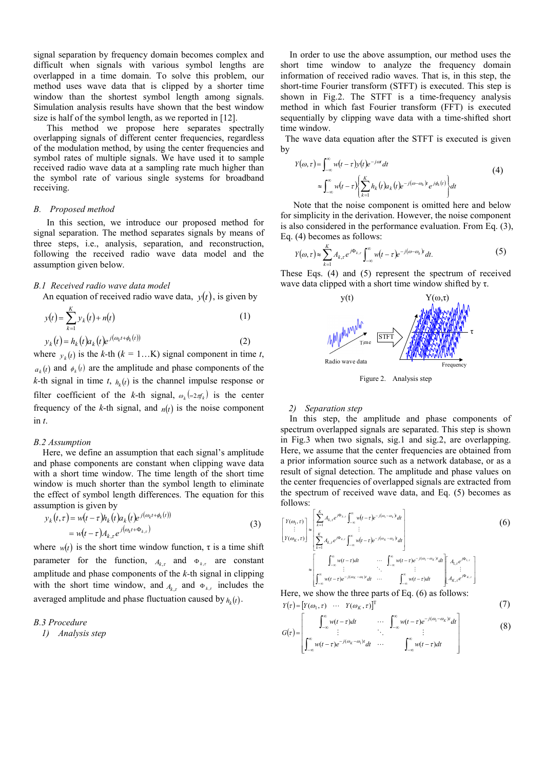signal separation by frequency domain becomes complex and difficult when signals with various symbol lengths are overlapped in a time domain. To solve this problem, our method uses wave data that is clipped by a shorter time window than the shortest symbol length among signals. Simulation analysis results have shown that the best window size is half of the symbol length, as we reported in [12].

This method we propose here separates spectrally overlapping signals of different center frequencies, regardless of the modulation method, by using the center frequencies and symbol rates of multiple signals. We have used it to sample received radio wave data at a sampling rate much higher than the symbol rate of various single systems for broadband receiving.

## *B. Proposed method*

In this section, we introduce our proposed method for signal separation. The method separates signals by means of three steps, i.e., analysis, separation, and reconstruction, following the received radio wave data model and the assumption given below.

## *B.1 Received radio wave data model*

An equation of received radio wave data,  $y(t)$ , is given by

$$
y(t) = \sum_{k=1}^{K} y_k(t) + n(t)
$$
\n
$$
y_k(t) = h_k(t)a_k(t)e^{j(\omega_k t + \phi_k(t))}
$$
\n(1)

where  $y_k(t)$  is the *k*-th ( $k = 1...K$ ) signal component in time *t*,  $a_k(t)$  and  $\phi_k(t)$  are the amplitude and phase components of the *k*-th signal in time  $t$ ,  $h_k(t)$  is the channel impulse response or filter coefficient of the *k*-th signal,  $\omega_k (=2\pi f_k)$  is the center frequency of the *k*-th signal, and  $n(t)$  is the noise component in *t*.

#### *B.2 Assumption*

Here, we define an assumption that each signal's amplitude and phase components are constant when clipping wave data with a short time window. The time length of the short time window is much shorter than the symbol length to eliminate the effect of symbol length differences. The equation for this assumption is given by

$$
y_k(t, \tau) = w(t - \tau)h_k(t)a_k(t)e^{j(\omega_k t + \phi_k(t))}
$$
  
=  $w(t - \tau)A_{k, \tau}e^{j(\omega_k t + \Phi_{k, \tau})}$  (3)

where  $w(t)$  is the short time window function,  $\tau$  is a time shift parameter for the function,  $A_{k,\tau}$  and  $\Phi_{k,\tau}$  are constant amplitude and phase components of the *k-*th signal in clipping with the short time window, and  $A_{k\tau}$  and  $\Phi_{k\tau}$  includes the averaged amplitude and phase fluctuation caused by  $h_k(t)$ .

# *B.3 Procedure*

*1) Analysis step*

In order to use the above assumption, our method uses the short time window to analyze the frequency domain information of received radio waves. That is, in this step, the short-time Fourier transform (STFT) is executed. This step is shown in Fig.2. The STFT is a time-frequency analysis method in which fast Fourier transform (FFT) is executed sequentially by clipping wave data with a time-shifted short time window.

 The wave data equation after the STFT is executed is given by

$$
Y(\omega,\tau) = \int_{-\infty}^{\infty} w(t-\tau)y(t)e^{-j\omega t}dt
$$
  
\n
$$
\approx \int_{-\infty}^{\infty} w(t-\tau)\left\{\sum_{k=1}^{K} h_k(t)a_k(t)e^{-j(\omega-\omega_k)t}e^{j\phi_k(t)}\right\}dt
$$
\n(4)

Note that the noise component is omitted here and below for simplicity in the derivation. However, the noise component is also considered in the performance evaluation. From Eq. (3), Eq. (4) becomes as follows:

$$
Y(\omega,\tau) \approx \sum_{k=1}^{K} A_{k,\tau} e^{j\Phi_{k,\tau}} \int_{-\infty}^{\infty} w(t-\tau) e^{-j(\omega-\omega_k)t} dt.
$$
 (5)

These Eqs. (4) and (5) represent the spectrum of received wave data clipped with a short time window shifted by  $\tau$ .



Figure 2. Analysis step

#### *2) Separation step*

In this step, the amplitude and phase components of spectrum overlapped signals are separated. This step is shown in Fig.3 when two signals, sig.1 and sig.2, are overlapping. Here, we assume that the center frequencies are obtained from a prior information source such as a network database, or as a result of signal detection. The amplitude and phase values on the center frequencies of overlapped signals are extracted from the spectrum of received wave data, and Eq. (5) becomes as follows:

$$
\begin{bmatrix}\nY(\omega_{1},\tau) \\
\vdots \\
Y(\omega_{K},\tau)\n\end{bmatrix}\n\begin{bmatrix}\n\sum_{k=1}^{K} A_{k,\tau} e^{j\Phi_{k,\tau}} \int_{-\infty}^{\infty} w(t-\tau) e^{-j(\omega_{1}-\omega_{k})t} dt \\
\vdots \\
\sum_{k=1}^{K} A_{k,\tau} e^{j\Phi_{k,\tau}} \int_{-\infty}^{\infty} w(t-\tau) e^{-j(\omega_{K}-\omega_{k})t} dt \\
\vdots \\
\sum_{k=1}^{K} w(t-\tau) dt \qquad \cdots \qquad \int_{-\infty}^{\infty} w(t-\tau) e^{-j(\omega_{1}-\omega_{K})t} dt \\
\vdots \\
\sum_{k=1}^{K} w(t-\tau) e^{-j(\omega_{K}-\omega_{k})t} dt \qquad \cdots \qquad \int_{-\infty}^{\infty} w(t-\tau) dt\n\end{bmatrix}\n\begin{bmatrix}\nA_{1,\tau} e^{j\Phi_{1,\tau}} \\
A_{1,\tau} e^{j\Phi_{K,\tau}}\n\end{bmatrix}
$$
\n(6)

Here, we show the three parts of Eq. (6) as follows:

 $Y(\tau) = [Y(\omega_1, \tau) \cdots Y(\omega_K, \tau)]^T$  (7)

$$
G(\tau) = \begin{bmatrix} \int_{-\infty}^{\infty} w(t-\tau)dt & \cdots & \int_{-\infty}^{\infty} w(t-\tau)e^{-j(\omega_1-\omega_K)t}dt \\ \vdots & \ddots & \vdots \\ \int_{-\infty}^{\infty} w(t-\tau)e^{-j(\omega_K-\omega_1)t}dt & \cdots & \int_{-\infty}^{\infty} w(t-\tau)dt \end{bmatrix}
$$
(8)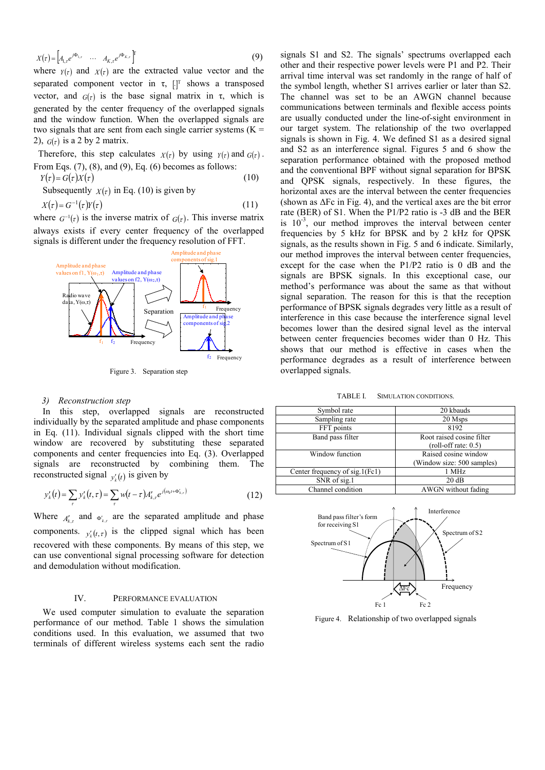$$
X(\tau) = \begin{bmatrix} A_{1,\tau} e^{j\Phi_{1,\tau}} & \cdots & A_{K,\tau} e^{j\Phi_{K,\tau}} \end{bmatrix}^{\mathrm{T}}
$$
 (9)

where  $Y(\tau)$  and  $X(\tau)$  are the extracted value vector and the separated component vector in  $\tau$ ,  $[$ <sup>T</sup> shows a transposed vector, and  $G(\tau)$  is the base signal matrix in  $\tau$ , which is generated by the center frequency of the overlapped signals and the window function. When the overlapped signals are two signals that are sent from each single carrier systems  $(K =$ 2),  $G(r)$  is a 2 by 2 matrix.

Therefore, this step calculates  $X(\tau)$  by using  $Y(\tau)$  and  $G(\tau)$ . From Eqs.  $(7)$ ,  $(8)$ , and  $(9)$ , Eq.  $(6)$  becomes as follows:

$$
Y(\tau) = G(\tau)X(\tau)
$$
  
\nSubsequently  $X(\tau)$  in Eq. (10) is given by  
\n
$$
X(\tau) = G^{-1}(\tau)Y(\tau)
$$
\n(11)

where  $G^{-1}(\tau)$  is the inverse matrix of  $G(\tau)$ . This inverse matrix always exists if every center frequency of the overlapped signals is different under the frequency resolution of FFT.



Figure 3. Separation step

#### *3) Reconstruction step*

In this step, overlapped signals are reconstructed individually by the separated amplitude and phase components in Eq. (11). Individual signals clipped with the short time window are recovered by substituting these separated components and center frequencies into Eq. (3). Overlapped signals are reconstructed by combining them. The reconstructed signal  $y'_{k}(t)$  is given by

$$
y'_{k}(t) = \sum_{\tau} y'_{k}(t, \tau) = \sum_{\tau} w(t - \tau) A'_{k, \tau} e^{j(\omega_{k} t + \Phi'_{k, \tau})}
$$
(12)

Where  $A'_{k}$  and  $\Phi'_{k}$  are the separated amplitude and phase components.  $y'_k(t,\tau)$  is the clipped signal which has been recovered with these components. By means of this step, we can use conventional signal processing software for detection and demodulation without modification.

# IV. PERFORMANCE EVALUATION

We used computer simulation to evaluate the separation performance of our method. Table 1 shows the simulation conditions used. In this evaluation, we assumed that two terminals of different wireless systems each sent the radio signals S1 and S2. The signals' spectrums overlapped each other and their respective power levels were P1 and P2. Their arrival time interval was set randomly in the range of half of the symbol length, whether S1 arrives earlier or later than S2. The channel was set to be an AWGN channel because communications between terminals and flexible access points are usually conducted under the line-of-sight environment in our target system. The relationship of the two overlapped signals is shown in Fig. 4. We defined S1 as a desired signal and S2 as an interference signal. Figures 5 and 6 show the separation performance obtained with the proposed method and the conventional BPF without signal separation for BPSK and QPSK signals, respectively. In these figures, the horizontal axes are the interval between the center frequencies (shown as  $\Delta Fc$  in Fig. 4), and the vertical axes are the bit error rate (BER) of S1. When the P1/P2 ratio is -3 dB and the BER is  $10^{-3}$ , our method improves the interval between center frequencies by 5 kHz for BPSK and by 2 kHz for QPSK signals, as the results shown in Fig. 5 and 6 indicate. Similarly, our method improves the interval between center frequencies, except for the case when the P1/P2 ratio is 0 dB and the signals are BPSK signals. In this exceptional case, our method's performance was about the same as that without signal separation. The reason for this is that the reception performance of BPSK signals degrades very little as a result of interference in this case because the interference signal level becomes lower than the desired signal level as the interval between center frequencies becomes wider than 0 Hz. This shows that our method is effective in cases when the performance degrades as a result of interference between overlapped signals.

TABLE I. SIMULATION CONDITIONS.

| Symbol rate                    | 20 kbauds                  |
|--------------------------------|----------------------------|
| Sampling rate                  | 20 Msps                    |
| FFT points                     | 8192                       |
| Band pass filter               | Root raised cosine filter  |
|                                | $(roll-off rate: 0.5)$     |
| Window function                | Raised cosine window       |
|                                | (Window size: 500 samples) |
| Center frequency of sig.1(Fc1) | 1 MHz                      |
| SNR of sig.1                   | 20dB                       |
| Channel condition              | AWGN without fading        |



Figure 4. Relationship of two overlapped signals